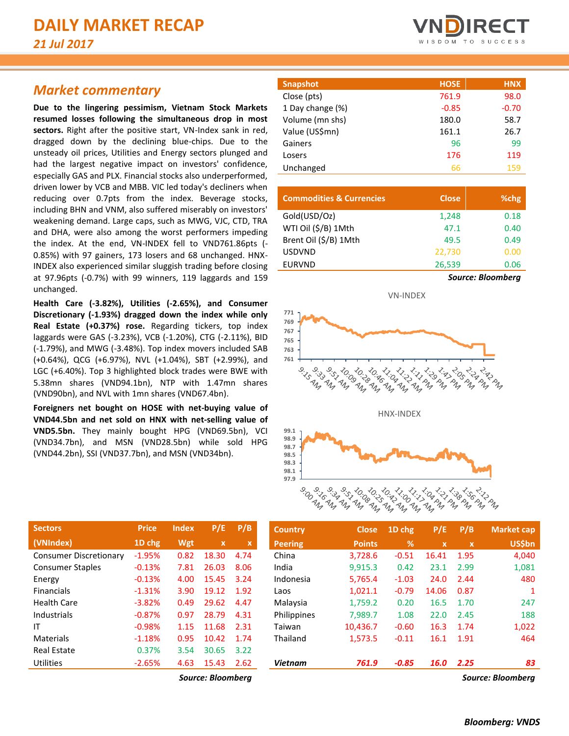# *Market commentary*

**Due to the lingering pessimism, Vietnam Stock Markets resumed losses following the simultaneous drop in most sectors.** Right after the positive start, VN-Index sank in red, dragged down by the declining blue-chips. Due to the unsteady oil prices, Utilities and Energy sectors plunged and had the largest negative impact on investors' confidence, especially GAS and PLX. Financial stocks also underperformed, driven lower by VCB and MBB. VIC led today's decliners when reducing over 0.7pts from the index. Beverage stocks, including BHN and VNM, also suffered miserably on investors' weakening demand. Large caps, such as MWG, VJC, CTD, TRA and DHA, were also among the worst performers impeding the index. At the end, VN-INDEX fell to VND761.86pts (- 0.85%) with 97 gainers, 173 losers and 68 unchanged. HNX-INDEX also experienced similar sluggish trading before closing at 97.96pts (-0.7%) with 99 winners, 119 laggards and 159 unchanged.

**Health Care (-3.82%), Utilities (-2.65%), and Consumer Discretionary (-1.93%) dragged down the index while only Real Estate (+0.37%) rose.** Regarding tickers, top index laggards were GAS (-3.23%), VCB (-1.20%), CTG (-2.11%), BID (-1.79%), and MWG (-3.48%). Top index movers included SAB (+0.64%), QCG (+6.97%), NVL (+1.04%), SBT (+2.99%), and LGC (+6.40%). Top 3 highlighted block trades were BWE with 5.38mn shares (VND94.1bn), NTP with 1.47mn shares (VND90bn), and NVL with 1mn shares (VND67.4bn).

**Foreigners net bought on HOSE with net-buying value of VND44.5bn and net sold on HNX with net-selling value of VND5.5bn.** They mainly bought HPG (VND69.5bn), VCI (VND34.7bn), and MSN (VND28.5bn) while sold HPG (VND44.2bn), SSI (VND37.7bn), and MSN (VND34bn).

| <b>Sectors</b>                | <b>Price</b> | <b>Index</b> | P/E         | P/B  |
|-------------------------------|--------------|--------------|-------------|------|
| (VNIndex)                     | 1D chg       | Wgt          | $\mathbf x$ | x    |
| <b>Consumer Discretionary</b> | $-1.95%$     | 0.82         | 18.30       | 4.74 |
| <b>Consumer Staples</b>       | $-0.13%$     | 7.81         | 26.03       | 8.06 |
| Energy                        | $-0.13%$     | 4.00         | 15.45       | 3.24 |
| <b>Financials</b>             | $-1.31%$     | 3.90         | 19.12       | 1.92 |
| Health Care                   | $-3.82%$     | 0.49         | 29.62       | 4.47 |
| Industrials                   | $-0.87%$     | 0.97         | 28.79       | 4.31 |
| ΙT                            | $-0.98%$     | 1.15         | 11.68       | 2.31 |
| Materials                     | $-1.18%$     | 0.95         | 10.42       | 1.74 |
| Real Estate                   | 0.37%        | 3.54         | 30.65       | 3.22 |
| <b>Utilities</b>              | $-2.65%$     | 4.63         | 15.43       | 2.62 |



| <b>Snapshot</b>  | <b>HOSE</b> | <b>HNX</b> |
|------------------|-------------|------------|
| Close (pts)      | 761.9       | 98.0       |
| 1 Day change (%) | $-0.85$     | $-0.70$    |
| Volume (mn shs)  | 180.0       | 58.7       |
| Value (US\$mn)   | 161.1       | 26.7       |
| Gainers          | 96          | 99         |
| Losers           | 176         | 119        |
| Unchanged        | 66          | 159        |

ſ

| <b>Commodities &amp; Currencies</b> | <b>Close</b>             | %chg |  |  |  |
|-------------------------------------|--------------------------|------|--|--|--|
| Gold(USD/Oz)                        | 1,248                    | 0.18 |  |  |  |
| WTI Oil (\$/B) 1Mth                 | 47.1                     | 0.40 |  |  |  |
| Brent Oil (\$/B) 1Mth               | 49.5                     | 0.49 |  |  |  |
| <b>USDVND</b>                       | 22,730                   | 0.00 |  |  |  |
| <b>EURVND</b>                       | 26,539                   | 0.06 |  |  |  |
|                                     | <b>Source: Bloomberg</b> |      |  |  |  |



| <b>Sectors</b>                | <b>Price</b> | <b>Index</b>             | P/E          | P/B                       | <b>Country</b> | <b>Close</b>  | $1D$ chg | P/E          | P/B                       | <b>Market cap</b> |
|-------------------------------|--------------|--------------------------|--------------|---------------------------|----------------|---------------|----------|--------------|---------------------------|-------------------|
| (VNIndex)                     | 1D chg       | Wgt                      | $\mathbf{x}$ | $\boldsymbol{\mathsf{x}}$ | <b>Peering</b> | <b>Points</b> | %        | $\mathbf{x}$ | $\boldsymbol{\mathsf{x}}$ | <b>US\$bn</b>     |
| <b>Consumer Discretionary</b> | $-1.95%$     | 0.82                     | 18.30        | 4.74                      | China          | 3,728.6       | $-0.51$  | 16.41        | 1.95                      | 4,040             |
| <b>Consumer Staples</b>       | $-0.13%$     | 7.81                     | 26.03        | 8.06                      | India          | 9,915.3       | 0.42     | 23.1         | 2.99                      | 1,081             |
| Energy                        | $-0.13%$     | 4.00                     | 15.45        | 3.24                      | Indonesia      | 5,765.4       | $-1.03$  | 24.0         | 2.44                      | 480               |
| <b>Financials</b>             | $-1.31%$     | 3.90                     | 19.12        | 1.92                      | Laos           | 1,021.1       | $-0.79$  | 14.06        | 0.87                      |                   |
| Health Care                   | $-3.82%$     | 0.49                     | 29.62        | 4.47                      | Malaysia       | 1,759.2       | 0.20     | 16.5         | 1.70                      | 247               |
| Industrials                   | $-0.87%$     | 0.97                     | 28.79        | 4.31                      | Philippines    | 7.989.7       | 1.08     | 22.0         | 2.45                      | 188               |
| ΙT                            | $-0.98%$     | 1.15                     | 11.68        | 2.31                      | Taiwan         | 10,436.7      | $-0.60$  | 16.3         | 1.74                      | 1,022             |
| Materials                     | $-1.18%$     | 0.95                     | 10.42        | 1.74                      | Thailand       | 1,573.5       | $-0.11$  | 16.1         | 1.91                      | 464               |
| <b>Real Estate</b>            | 0.37%        | 3.54                     | 30.65        | 3.22                      |                |               |          |              |                           |                   |
| Utilities                     | $-2.65%$     | 4.63                     | 15.43        | 2.62                      | <b>Vietnam</b> | 761.9         | $-0.85$  | <b>16.0</b>  | 2.25                      | 83                |
|                               |              | $\overline{\phantom{a}}$ | $-1$         | . .                       |                |               |          |              | $\overline{\phantom{a}}$  | - -               |

*Source: Bloomberg Source: Bloomberg*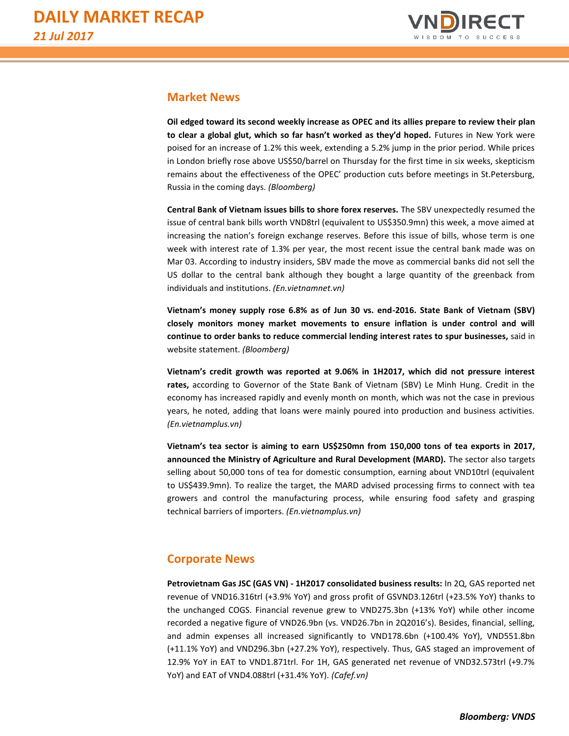

## **Market News**

**Oil edged toward its second weekly increase as OPEC and its allies prepare to review their plan to clear a global glut, which so far hasn't worked as they'd hoped.** Futures in New York were poised for an increase of 1.2% this week, extending a 5.2% jump in the prior period. While prices in London briefly rose above US\$50/barrel on Thursday for the first time in six weeks, skepticism remains about the effectiveness of the OPEC' production cuts before meetings in St.Petersburg, Russia in the coming days. *(Bloomberg)*

**Central Bank of Vietnam issues bills to shore forex reserves.** The SBV unexpectedly resumed the issue of central bank bills worth VND8trl (equivalent to US\$350.9mn) this week, a move aimed at increasing the nation's foreign exchange reserves. Before this issue of bills, whose term is one week with interest rate of 1.3% per year, the most recent issue the central bank made was on Mar 03. According to industry insiders, SBV made the move as commercial banks did not sell the US dollar to the central bank although they bought a large quantity of the greenback from individuals and institutions. *(En.vietnamnet.vn)*

**Vietnam's money supply rose 6.8% as of Jun 30 vs. end-2016. State Bank of Vietnam (SBV) closely monitors money market movements to ensure inflation is under control and will continue to order banks to reduce commercial lending interest rates to spur businesses,** said in website statement. *(Bloomberg)*

**Vietnam's credit growth was reported at 9.06% in 1H2017, which did not pressure interest rates,** according to Governor of the State Bank of Vietnam (SBV) Le Minh Hung. Credit in the economy has increased rapidly and evenly month on month, which was not the case in previous years, he noted, adding that loans were mainly poured into production and business activities. *(En.vietnamplus.vn)*

**Vietnam's tea sector is aiming to earn US\$250mn from 150,000 tons of tea exports in 2017, announced the Ministry of Agriculture and Rural Development (MARD).** The sector also targets selling about 50,000 tons of tea for domestic consumption, earning about VND10trl (equivalent to US\$439.9mn). To realize the target, the MARD advised processing firms to connect with tea growers and control the manufacturing process, while ensuring food safety and grasping technical barriers of importers. *(En.vietnamplus.vn)*

# **Corporate News**

**Petrovietnam Gas JSC (GAS VN) - 1H2017 consolidated business results:** In 2Q, GAS reported net revenue of VND16.316trl (+3.9% YoY) and gross profit of GSVND3.126trl (+23.5% YoY) thanks to the unchanged COGS. Financial revenue grew to VND275.3bn (+13% YoY) while other income recorded a negative figure of VND26.9bn (vs. VND26.7bn in 2Q2016's). Besides, financial, selling, and admin expenses all increased significantly to VND178.6bn (+100.4% YoY), VND551.8bn (+11.1% YoY) and VND296.3bn (+27.2% YoY), respectively. Thus, GAS staged an improvement of 12.9% YoY in EAT to VND1.871trl. For 1H, GAS generated net revenue of VND32.573trl (+9.7% YoY) and EAT of VND4.088trl (+31.4% YoY). *(Cafef.vn)*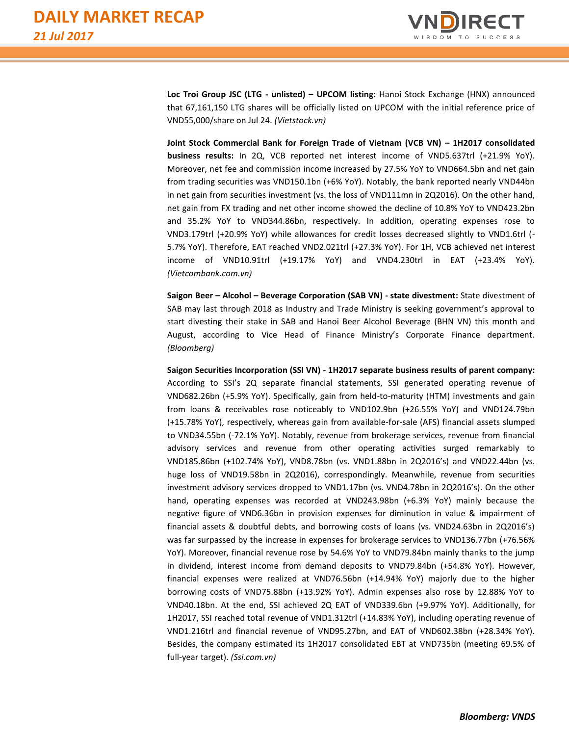

**Loc Troi Group JSC (LTG - unlisted) – UPCOM listing:** Hanoi Stock Exchange (HNX) announced that 67,161,150 LTG shares will be officially listed on UPCOM with the initial reference price of VND55,000/share on Jul 24. *(Vietstock.vn)*

**Joint Stock Commercial Bank for Foreign Trade of Vietnam (VCB VN) – 1H2017 consolidated business results:** In 2Q, VCB reported net interest income of VND5.637trl (+21.9% YoY). Moreover, net fee and commission income increased by 27.5% YoY to VND664.5bn and net gain from trading securities was VND150.1bn (+6% YoY). Notably, the bank reported nearly VND44bn in net gain from securities investment (vs. the loss of VND111mn in 2Q2016). On the other hand, net gain from FX trading and net other income showed the decline of 10.8% YoY to VND423.2bn and 35.2% YoY to VND344.86bn, respectively. In addition, operating expenses rose to VND3.179trl (+20.9% YoY) while allowances for credit losses decreased slightly to VND1.6trl (- 5.7% YoY). Therefore, EAT reached VND2.021trl (+27.3% YoY). For 1H, VCB achieved net interest income of VND10.91trl (+19.17% YoY) and VND4.230trl in EAT (+23.4% YoY). *(Vietcombank.com.vn)*

**Saigon Beer – Alcohol – Beverage Corporation (SAB VN) - state divestment:** State divestment of SAB may last through 2018 as Industry and Trade Ministry is seeking government's approval to start divesting their stake in SAB and Hanoi Beer Alcohol Beverage (BHN VN) this month and August, according to Vice Head of Finance Ministry's Corporate Finance department. *(Bloomberg)*

**Saigon Securities Incorporation (SSI VN) - 1H2017 separate business results of parent company:** According to SSI's 2Q separate financial statements, SSI generated operating revenue of VND682.26bn (+5.9% YoY). Specifically, gain from held-to-maturity (HTM) investments and gain from loans & receivables rose noticeably to VND102.9bn (+26.55% YoY) and VND124.79bn (+15.78% YoY), respectively, whereas gain from available-for-sale (AFS) financial assets slumped to VND34.55bn (-72.1% YoY). Notably, revenue from brokerage services, revenue from financial advisory services and revenue from other operating activities surged remarkably to VND185.86bn (+102.74% YoY), VND8.78bn (vs. VND1.88bn in 2Q2016's) and VND22.44bn (vs. huge loss of VND19.58bn in 2Q2016), correspondingly. Meanwhile, revenue from securities investment advisory services dropped to VND1.17bn (vs. VND4.78bn in 2Q2016's). On the other hand, operating expenses was recorded at VND243.98bn (+6.3% YoY) mainly because the negative figure of VND6.36bn in provision expenses for diminution in value & impairment of financial assets & doubtful debts, and borrowing costs of loans (vs. VND24.63bn in 2Q2016's) was far surpassed by the increase in expenses for brokerage services to VND136.77bn (+76.56% YoY). Moreover, financial revenue rose by 54.6% YoY to VND79.84bn mainly thanks to the jump in dividend, interest income from demand deposits to VND79.84bn (+54.8% YoY). However, financial expenses were realized at VND76.56bn (+14.94% YoY) majorly due to the higher borrowing costs of VND75.88bn (+13.92% YoY). Admin expenses also rose by 12.88% YoY to VND40.18bn. At the end, SSI achieved 2Q EAT of VND339.6bn (+9.97% YoY). Additionally, for 1H2017, SSI reached total revenue of VND1.312trl (+14.83% YoY), including operating revenue of VND1.216trl and financial revenue of VND95.27bn, and EAT of VND602.38bn (+28.34% YoY). Besides, the company estimated its 1H2017 consolidated EBT at VND735bn (meeting 69.5% of full-year target). *(Ssi.com.vn)*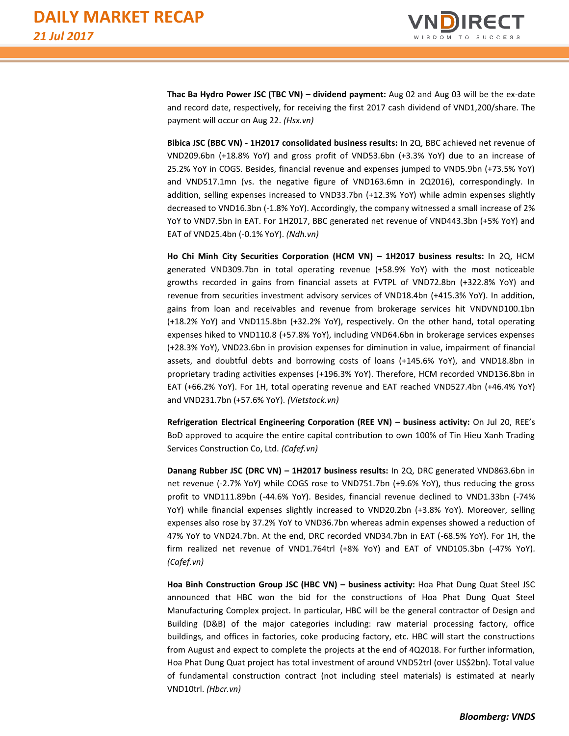

**Thac Ba Hydro Power JSC (TBC VN) – dividend payment:** Aug 02 and Aug 03 will be the ex-date and record date, respectively, for receiving the first 2017 cash dividend of VND1,200/share. The payment will occur on Aug 22. *(Hsx.vn)*

**Bibica JSC (BBC VN) - 1H2017 consolidated business results:** In 2Q, BBC achieved net revenue of VND209.6bn (+18.8% YoY) and gross profit of VND53.6bn (+3.3% YoY) due to an increase of 25.2% YoY in COGS. Besides, financial revenue and expenses jumped to VND5.9bn (+73.5% YoY) and VND517.1mn (vs. the negative figure of VND163.6mn in 2Q2016), correspondingly. In addition, selling expenses increased to VND33.7bn (+12.3% YoY) while admin expenses slightly decreased to VND16.3bn (-1.8% YoY). Accordingly, the company witnessed a small increase of 2% YoY to VND7.5bn in EAT. For 1H2017, BBC generated net revenue of VND443.3bn (+5% YoY) and EAT of VND25.4bn (-0.1% YoY). *(Ndh.vn)*

**Ho Chi Minh City Securities Corporation (HCM VN) – 1H2017 business results:** In 2Q, HCM generated VND309.7bn in total operating revenue (+58.9% YoY) with the most noticeable growths recorded in gains from financial assets at FVTPL of VND72.8bn (+322.8% YoY) and revenue from securities investment advisory services of VND18.4bn (+415.3% YoY). In addition, gains from loan and receivables and revenue from brokerage services hit VNDVND100.1bn (+18.2% YoY) and VND115.8bn (+32.2% YoY), respectively. On the other hand, total operating expenses hiked to VND110.8 (+57.8% YoY), including VND64.6bn in brokerage services expenses (+28.3% YoY), VND23.6bn in provision expenses for diminution in value, impairment of financial assets, and doubtful debts and borrowing costs of loans (+145.6% YoY), and VND18.8bn in proprietary trading activities expenses (+196.3% YoY). Therefore, HCM recorded VND136.8bn in EAT (+66.2% YoY). For 1H, total operating revenue and EAT reached VND527.4bn (+46.4% YoY) and VND231.7bn (+57.6% YoY). *(Vietstock.vn)*

**Refrigeration Electrical Engineering Corporation (REE VN) – business activity:** On Jul 20, REE's BoD approved to acquire the entire capital contribution to own 100% of Tin Hieu Xanh Trading Services Construction Co, Ltd. *(Cafef.vn)*

**Danang Rubber JSC (DRC VN) – 1H2017 business results:** In 2Q, DRC generated VND863.6bn in net revenue (-2.7% YoY) while COGS rose to VND751.7bn (+9.6% YoY), thus reducing the gross profit to VND111.89bn (-44.6% YoY). Besides, financial revenue declined to VND1.33bn (-74% YoY) while financial expenses slightly increased to VND20.2bn (+3.8% YoY). Moreover, selling expenses also rose by 37.2% YoY to VND36.7bn whereas admin expenses showed a reduction of 47% YoY to VND24.7bn. At the end, DRC recorded VND34.7bn in EAT (-68.5% YoY). For 1H, the firm realized net revenue of VND1.764trl (+8% YoY) and EAT of VND105.3bn (-47% YoY). *(Cafef.vn)*

**Hoa Binh Construction Group JSC (HBC VN) – business activity:** Hoa Phat Dung Quat Steel JSC announced that HBC won the bid for the constructions of Hoa Phat Dung Quat Steel Manufacturing Complex project. In particular, HBC will be the general contractor of Design and Building (D&B) of the major categories including: raw material processing factory, office buildings, and offices in factories, coke producing factory, etc. HBC will start the constructions from August and expect to complete the projects at the end of 4Q2018. For further information, Hoa Phat Dung Quat project has total investment of around VND52trl (over US\$2bn). Total value of fundamental construction contract (not including steel materials) is estimated at nearly VND10trl. *(Hbcr.vn)*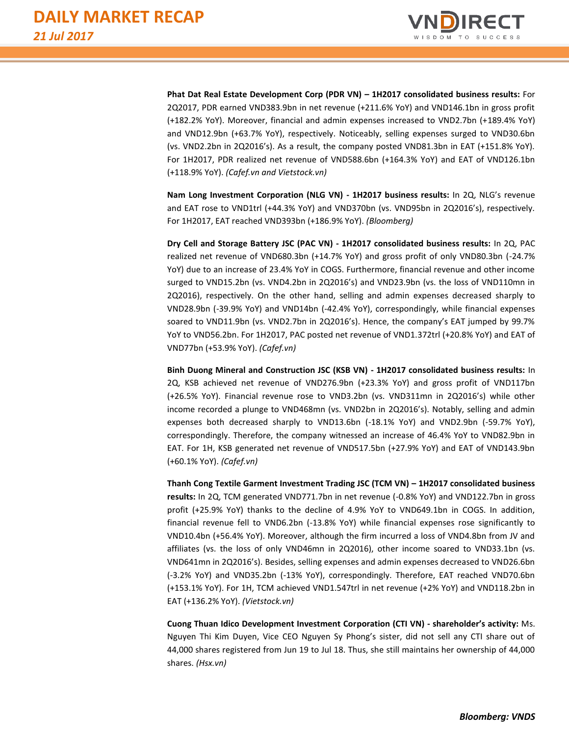

**Phat Dat Real Estate Development Corp (PDR VN) – 1H2017 consolidated business results:** For 2Q2017, PDR earned VND383.9bn in net revenue (+211.6% YoY) and VND146.1bn in gross profit (+182.2% YoY). Moreover, financial and admin expenses increased to VND2.7bn (+189.4% YoY) and VND12.9bn (+63.7% YoY), respectively. Noticeably, selling expenses surged to VND30.6bn (vs. VND2.2bn in 2Q2016's). As a result, the company posted VND81.3bn in EAT (+151.8% YoY). For 1H2017, PDR realized net revenue of VND588.6bn (+164.3% YoY) and EAT of VND126.1bn (+118.9% YoY). *(Cafef.vn and Vietstock.vn)*

**Nam Long Investment Corporation (NLG VN) - 1H2017 business results:** In 2Q, NLG's revenue and EAT rose to VND1trl (+44.3% YoY) and VND370bn (vs. VND95bn in 2Q2016's), respectively. For 1H2017, EAT reached VND393bn (+186.9% YoY). *(Bloomberg)*

**Dry Cell and Storage Battery JSC (PAC VN) - 1H2017 consolidated business results:** In 2Q, PAC realized net revenue of VND680.3bn (+14.7% YoY) and gross profit of only VND80.3bn (-24.7% YoY) due to an increase of 23.4% YoY in COGS. Furthermore, financial revenue and other income surged to VND15.2bn (vs. VND4.2bn in 2Q2016's) and VND23.9bn (vs. the loss of VND110mn in 2Q2016), respectively. On the other hand, selling and admin expenses decreased sharply to VND28.9bn (-39.9% YoY) and VND14bn (-42.4% YoY), correspondingly, while financial expenses soared to VND11.9bn (vs. VND2.7bn in 2Q2016's). Hence, the company's EAT jumped by 99.7% YoY to VND56.2bn. For 1H2017, PAC posted net revenue of VND1.372trl (+20.8% YoY) and EAT of VND77bn (+53.9% YoY). *(Cafef.vn)*

**Binh Duong Mineral and Construction JSC (KSB VN) - 1H2017 consolidated business results:** In 2Q, KSB achieved net revenue of VND276.9bn (+23.3% YoY) and gross profit of VND117bn (+26.5% YoY). Financial revenue rose to VND3.2bn (vs. VND311mn in 2Q2016's) while other income recorded a plunge to VND468mn (vs. VND2bn in 2Q2016's). Notably, selling and admin expenses both decreased sharply to VND13.6bn (-18.1% YoY) and VND2.9bn (-59.7% YoY), correspondingly. Therefore, the company witnessed an increase of 46.4% YoY to VND82.9bn in EAT. For 1H, KSB generated net revenue of VND517.5bn (+27.9% YoY) and EAT of VND143.9bn (+60.1% YoY). *(Cafef.vn)*

**Thanh Cong Textile Garment Investment Trading JSC (TCM VN) – 1H2017 consolidated business results:** In 2Q, TCM generated VND771.7bn in net revenue (-0.8% YoY) and VND122.7bn in gross profit (+25.9% YoY) thanks to the decline of 4.9% YoY to VND649.1bn in COGS. In addition, financial revenue fell to VND6.2bn (-13.8% YoY) while financial expenses rose significantly to VND10.4bn (+56.4% YoY). Moreover, although the firm incurred a loss of VND4.8bn from JV and affiliates (vs. the loss of only VND46mn in 2Q2016), other income soared to VND33.1bn (vs. VND641mn in 2Q2016's). Besides, selling expenses and admin expenses decreased to VND26.6bn (-3.2% YoY) and VND35.2bn (-13% YoY), correspondingly. Therefore, EAT reached VND70.6bn (+153.1% YoY). For 1H, TCM achieved VND1.547trl in net revenue (+2% YoY) and VND118.2bn in EAT (+136.2% YoY). *(Vietstock.vn)*

**Cuong Thuan Idico Development Investment Corporation (CTI VN) - shareholder's activity:** Ms. Nguyen Thi Kim Duyen, Vice CEO Nguyen Sy Phong's sister, did not sell any CTI share out of 44,000 shares registered from Jun 19 to Jul 18. Thus, she still maintains her ownership of 44,000 shares. *(Hsx.vn)*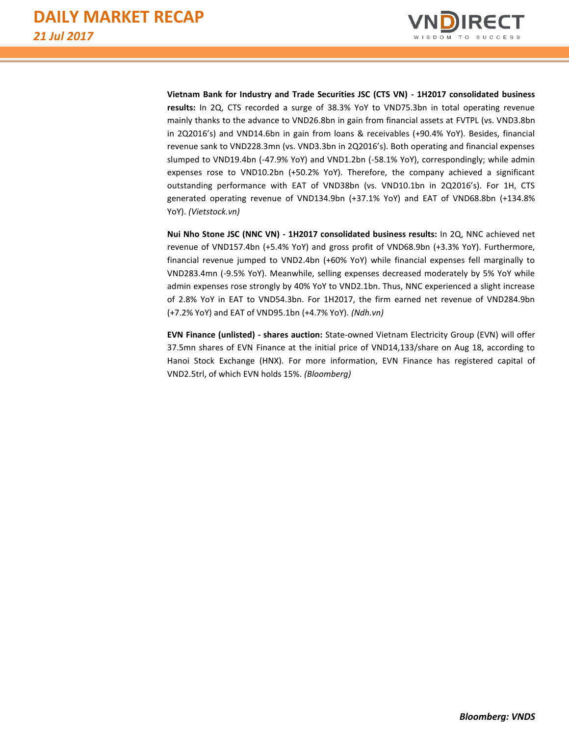

**Vietnam Bank for Industry and Trade Securities JSC (CTS VN) - 1H2017 consolidated business results:** In 2Q, CTS recorded a surge of 38.3% YoY to VND75.3bn in total operating revenue mainly thanks to the advance to VND26.8bn in gain from financial assets at FVTPL (vs. VND3.8bn in 2Q2016's) and VND14.6bn in gain from loans & receivables (+90.4% YoY). Besides, financial revenue sank to VND228.3mn (vs. VND3.3bn in 2Q2016's). Both operating and financial expenses slumped to VND19.4bn (-47.9% YoY) and VND1.2bn (-58.1% YoY), correspondingly; while admin expenses rose to VND10.2bn (+50.2% YoY). Therefore, the company achieved a significant outstanding performance with EAT of VND38bn (vs. VND10.1bn in 2Q2016's). For 1H, CTS generated operating revenue of VND134.9bn (+37.1% YoY) and EAT of VND68.8bn (+134.8% YoY). *(Vietstock.vn)*

**Nui Nho Stone JSC (NNC VN) - 1H2017 consolidated business results:** In 2Q, NNC achieved net revenue of VND157.4bn (+5.4% YoY) and gross profit of VND68.9bn (+3.3% YoY). Furthermore, financial revenue jumped to VND2.4bn (+60% YoY) while financial expenses fell marginally to VND283.4mn (-9.5% YoY). Meanwhile, selling expenses decreased moderately by 5% YoY while admin expenses rose strongly by 40% YoY to VND2.1bn. Thus, NNC experienced a slight increase of 2.8% YoY in EAT to VND54.3bn. For 1H2017, the firm earned net revenue of VND284.9bn (+7.2% YoY) and EAT of VND95.1bn (+4.7% YoY). *(Ndh.vn)*

**EVN Finance (unlisted) - shares auction:** State-owned Vietnam Electricity Group (EVN) will offer 37.5mn shares of EVN Finance at the initial price of VND14,133/share on Aug 18, according to Hanoi Stock Exchange (HNX). For more information, EVN Finance has registered capital of VND2.5trl, of which EVN holds 15%. *(Bloomberg)*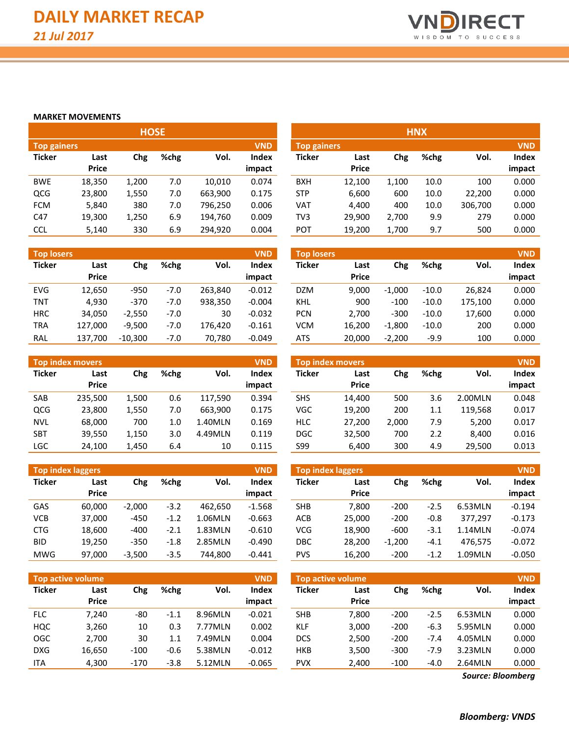

#### **MARKET MOVEMENTS**

|               |              | <b>HOSE</b> |      |         |            |                    |              |       | <b>HNX</b> |         |            |
|---------------|--------------|-------------|------|---------|------------|--------------------|--------------|-------|------------|---------|------------|
| Top gainers   |              |             |      |         | <b>VND</b> | <b>Top gainers</b> |              |       |            |         | <b>VND</b> |
| <b>Ticker</b> | Last         | Chg         | %chg | Vol.    | Index      | <b>Ticker</b>      | Last         | Chg   | %chg       | Vol.    | Index      |
|               | <b>Price</b> |             |      |         | impact     |                    | <b>Price</b> |       |            |         | impact     |
| <b>BWE</b>    | 18,350       | 1,200       | 7.0  | 10.010  | 0.074      | <b>BXH</b>         | 12,100       | 1,100 | 10.0       | 100     | 0.000      |
| QCG           | 23,800       | 1,550       | 7.0  | 663,900 | 0.175      | <b>STP</b>         | 6,600        | 600   | 10.0       | 22,200  | 0.000      |
| <b>FCM</b>    | 5,840        | 380         | 7.0  | 796,250 | 0.006      | VAT                | 4,400        | 400   | 10.0       | 306,700 | 0.000      |
| C47           | 19,300       | 1,250       | 6.9  | 194,760 | 0.009      | TV3                | 29,900       | 2,700 | 9.9        | 279     | 0.000      |
| <b>CCL</b>    | 5,140        | 330         | 6.9  | 294,920 | 0.004      | <b>POT</b>         | 19,200       | 1,700 | 9.7        | 500     | 0.000      |

| <b>Top losers</b> |                      |           |        |         | <b>VND</b>             | <b>Top losers</b> |                      |          |         |         | <b>VND</b>      |
|-------------------|----------------------|-----------|--------|---------|------------------------|-------------------|----------------------|----------|---------|---------|-----------------|
| <b>Ticker</b>     | Last<br><b>Price</b> | Chg       | %chg   | Vol.    | <b>Index</b><br>impact | Ticker            | Last<br><b>Price</b> | Chg      | %chg    | Vol.    | Index<br>impact |
| <b>EVG</b>        | 12.650               | $-950$    | $-7.0$ | 263.840 | $-0.012$               | <b>DZM</b>        | 9.000                | $-1.000$ | $-10.0$ | 26,824  | 0.000           |
| <b>TNT</b>        | 4.930                | $-370$    | $-7.0$ | 938.350 | $-0.004$               | <b>KHL</b>        | 900                  | $-100$   | $-10.0$ | 175,100 | 0.000           |
| <b>HRC</b>        | 34.050               | $-2.550$  | $-7.0$ | 30      | $-0.032$               | <b>PCN</b>        | 2.700                | $-300$   | $-10.0$ | 17,600  | 0.000           |
| TRA               | 127.000              | $-9.500$  | $-7.0$ | 176.420 | $-0.161$               | <b>VCM</b>        | 16.200               | $-1,800$ | $-10.0$ | 200     | 0.000           |
| RAL               | 137,700              | $-10.300$ | $-7.0$ | 70,780  | $-0.049$               | ATS               | 20,000               | $-2,200$ | $-9.9$  | 100     | 0.000           |

|               | <b>Top index movers</b> |             |     |         | <b>VND</b>   |
|---------------|-------------------------|-------------|-----|---------|--------------|
| <b>Ticker</b> | Last<br>Price           | %chg<br>Chg |     | Vol.    | <b>Index</b> |
|               |                         |             |     |         | impact       |
| SAB           | 235,500                 | 1,500       | 0.6 | 117,590 | 0.394        |
| <b>QCG</b>    | 23,800                  | 1,550       | 7.0 | 663,900 | 0.175        |
| NVL           | 68,000                  | 700         | 1.0 | 1.40MLN | 0.169        |
| <b>SBT</b>    | 39,550                  | 1,150       | 3.0 | 4.49MLN | 0.119        |
| <b>LGC</b>    | 24,100                  | 1,450       | 6.4 | 10      | 0.115        |

| <b>Top index laggers</b> |        |          |        |         | <b>VND</b>   |
|--------------------------|--------|----------|--------|---------|--------------|
| <b>Ticker</b>            | Last   | Chg      | %chg   | Vol.    | <b>Index</b> |
|                          | Price  |          |        |         | impact       |
| GAS                      | 60,000 | $-2,000$ | $-3.2$ | 462.650 | $-1.568$     |
| <b>VCB</b>               | 37,000 | -450     | $-1.2$ | 1.06MLN | $-0.663$     |
| <b>CTG</b>               | 18,600 | -400     | $-2.1$ | 1.83MLN | $-0.610$     |
| <b>BID</b>               | 19,250 | $-350$   | $-1.8$ | 2.85MLN | $-0.490$     |
| <b>MWG</b>               | 97,000 | $-3,500$ | $-3.5$ | 744,800 | $-0.441$     |

|               | <b>Top active volume</b> |        |        |         | <b>VND</b>   |
|---------------|--------------------------|--------|--------|---------|--------------|
| <b>Ticker</b> | Last                     | Chg    | %chg   | Vol.    | <b>Index</b> |
|               | <b>Price</b>             |        |        |         | impact       |
| <b>FLC</b>    | 7,240                    | -80    | $-1.1$ | 8.96MLN | $-0.021$     |
| <b>HQC</b>    | 3,260                    | 10     | 0.3    | 7.77MLN | 0.002        |
| OGC           | 2,700                    | 30     | 1.1    | 7.49MLN | 0.004        |
| <b>DXG</b>    | 16,650                   | $-100$ | $-0.6$ | 5.38MLN | $-0.012$     |
| ITA           | 4,300                    | $-170$ | $-3.8$ | 5.12MLN | $-0.065$     |

|                    | <b>HNX</b> |       |      |         |            |  |  |  |  |  |  |  |
|--------------------|------------|-------|------|---------|------------|--|--|--|--|--|--|--|
| <b>Top gainers</b> |            |       |      |         | <b>VND</b> |  |  |  |  |  |  |  |
| <b>Ticker</b>      | Last       | Chg   | %chg | Vol.    | Index      |  |  |  |  |  |  |  |
|                    | Price      |       |      |         | impact     |  |  |  |  |  |  |  |
| <b>BXH</b>         | 12,100     | 1,100 | 10.0 | 100     | 0.000      |  |  |  |  |  |  |  |
| <b>STP</b>         | 6,600      | 600   | 10.0 | 22,200  | 0.000      |  |  |  |  |  |  |  |
| VAT                | 4,400      | 400   | 10.0 | 306,700 | 0.000      |  |  |  |  |  |  |  |
| TV3                | 29,900     | 2,700 | 9.9  | 279     | 0.000      |  |  |  |  |  |  |  |
| POT                | 19,200     | 1,700 | 9.7  | 500     | 0.000      |  |  |  |  |  |  |  |

| <b>Top losers</b> |        |          |         |         | <b>VND</b> |
|-------------------|--------|----------|---------|---------|------------|
| <b>Ticker</b>     | Last   | Chg      | %chg    | Vol.    | Index      |
|                   | Price  |          |         |         | impact     |
| <b>DZM</b>        | 9.000  | $-1.000$ | $-10.0$ | 26.824  | 0.000      |
| KHL               | 900    | $-100$   | $-10.0$ | 175,100 | 0.000      |
| <b>PCN</b>        | 2,700  | $-300$   | $-10.0$ | 17,600  | 0.000      |
| <b>VCM</b>        | 16,200 | $-1,800$ | $-10.0$ | 200     | 0.000      |
| <b>ATS</b>        | 20,000 | $-2,200$ | $-9.9$  | 100     | 0.000      |

|        | Top index movers' |       |      |         | <b>VND</b>   | <b>Top index movers</b> |              |       |      |         | <b>VND</b> |
|--------|-------------------|-------|------|---------|--------------|-------------------------|--------------|-------|------|---------|------------|
| Ticker | Last              | Chg   | %chg | Vol.    | <b>Index</b> | <b>Ticker</b>           | Last         | Chg   | %chg | Vol.    | Index      |
|        | <b>Price</b>      |       |      |         | impact       |                         | <b>Price</b> |       |      |         | impact     |
| SAB    | 235,500           | 1,500 | 0.6  | 117.590 | 0.394        | <b>SHS</b>              | 14.400       | 500   | 3.6  | 2.00MLN | 0.048      |
| QCG    | 23,800            | 1,550 | 7.0  | 663.900 | 0.175        | VGC                     | 19,200       | 200   | 1.1  | 119,568 | 0.017      |
| NVL    | 68,000            | 700   | 1.0  | 1.40MLN | 0.169        | <b>HLC</b>              | 27,200       | 2.000 | 7.9  | 5,200   | 0.017      |
| SBT    | 39,550            | 1,150 | 3.0  | 4.49MLN | 0.119        | <b>DGC</b>              | 32,500       | 700   | 2.2  | 8,400   | 0.016      |
| LGC    | 24,100            | 1,450 | 6.4  | 10      | 0.115        | S99                     | 6.400        | 300   | 4.9  | 29,500  | 0.013      |
|        |                   |       |      |         |              |                         |              |       |      |         |            |

| <b>Top index laggers</b> |              |          |        |         | <b>VND</b>   | Top index laggers |        |          | <b>VND</b> |         |          |  |  |
|--------------------------|--------------|----------|--------|---------|--------------|-------------------|--------|----------|------------|---------|----------|--|--|
| Ticker                   | Last         | Chg      | %chg   | Vol.    | <b>Index</b> | <b>Ticker</b>     | Last   | Chg      | %chg       | Vol.    | Index    |  |  |
|                          | <b>Price</b> |          |        |         | impact       |                   | Price  |          |            |         | impact   |  |  |
| GAS                      | 60.000       | $-2,000$ | $-3.2$ | 462.650 | $-1.568$     | <b>SHB</b>        | 7.800  | $-200$   | $-2.5$     | 6.53MLN | $-0.194$ |  |  |
| VCB                      | 37,000       | $-450$   | $-1.2$ | 1.06MLN | $-0.663$     | <b>ACB</b>        | 25,000 | $-200$   | $-0.8$     | 377.297 | $-0.173$ |  |  |
| <b>CTG</b>               | 18,600       | $-400$   | -2.1   | 1.83MLN | $-0.610$     | <b>VCG</b>        | 18.900 | $-600$   | $-3.1$     | 1.14MLN | $-0.074$ |  |  |
| <b>BID</b>               | 19,250       | $-350$   | $-1.8$ | 2.85MLN | $-0.490$     | <b>DBC</b>        | 28,200 | $-1.200$ | $-4.1$     | 476.575 | $-0.072$ |  |  |
| MWG                      | 97,000       | $-3,500$ | $-3.5$ | 744.800 | $-0.441$     | <b>PVS</b>        | 16,200 | $-200$   | $-1.2$     | 1.09MLN | $-0.050$ |  |  |

|            | <b>Top active volume</b> |        |                                          |         | <b>VND</b>             | <b>Top active volume</b> |                      |        |        |         | <b>VND</b>      |
|------------|--------------------------|--------|------------------------------------------|---------|------------------------|--------------------------|----------------------|--------|--------|---------|-----------------|
| Ticker     | Last<br><b>Price</b>     | Chg    | %chg<br>Vol.<br>8.96MLN<br>-80<br>$-1.1$ |         | <b>Index</b><br>impact | Ticker                   | Last<br><b>Price</b> | Chg    | %chg   | Vol.    | Index<br>impact |
| <b>FLC</b> | 7.240                    |        |                                          |         | $-0.021$               | <b>SHB</b>               | 7.800                | $-200$ | $-2.5$ | 6.53MLN | 0.000           |
| HQC        | 3,260                    | 10     | 0.3                                      | 7.77MLN | 0.002                  | <b>KLF</b>               | 3,000                | $-200$ | $-6.3$ | 5.95MLN | 0.000           |
| OGC        | 2,700                    | 30     | 1.1                                      | 7.49MLN | 0.004                  | <b>DCS</b>               | 2,500                | $-200$ | $-7.4$ | 4.05MLN | 0.000           |
| <b>DXG</b> | 16,650                   | $-100$ | $-0.6$                                   | 5.38MLN | $-0.012$               | HKB                      | 3,500                | $-300$ | $-7.9$ | 3.23MLN | 0.000           |
| <b>ITA</b> | 4,300                    | $-170$ | $-3.8$                                   | 5.12MLN | $-0.065$               | <b>PVX</b>               | 2.400                | $-100$ | $-4.0$ | 2.64MLN | 0.000           |

*Source: Bloomberg*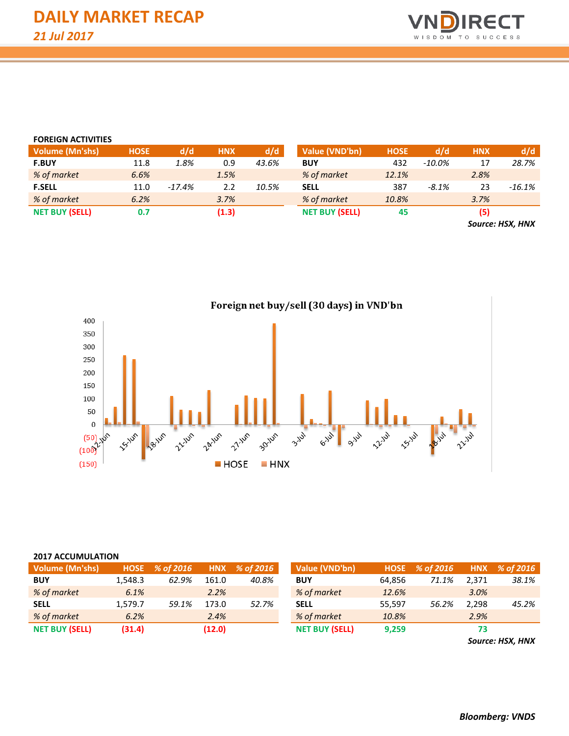

| <b>FOREIGN ACTIVITIES</b> |             |          |            |       |                       |             |           |            |           |
|---------------------------|-------------|----------|------------|-------|-----------------------|-------------|-----------|------------|-----------|
| <b>Volume (Mn'shs)</b>    | <b>HOSE</b> | d/d      | <b>HNX</b> | d/d   | Value (VND'bn)        | <b>HOSE</b> | d/d       | <b>HNX</b> | d/d       |
| <b>F.BUY</b>              | 11.8        | 1.8%     | 0.9        | 43.6% | <b>BUY</b>            | 432         | $-10.0\%$ | 17         | 28.7%     |
| % of market               | 6.6%        |          | 1.5%       |       | % of market           | 12.1%       |           | 2.8%       |           |
| <b>F.SELL</b>             | 11.0        | $-17.4%$ | 2.2        | 10.5% | <b>SELL</b>           | 387         | $-8.1\%$  | 23         | $-16.1\%$ |
| % of market               | 6.2%        |          | 3.7%       |       | % of market           | 10.8%       |           | 3.7%       |           |
| <b>NET BUY (SELL)</b>     | 0.7         |          | (1.3)      |       | <b>NET BUY (SELL)</b> | 45          |           | (5)        |           |
|                           |             |          |            |       |                       |             |           |            |           |

*Source: HSX, HNX*



# Foreign net buy/sell (30 days) in VND'bn

#### **2017 ACCUMULATION**

| Volume (Mn'shs)       | <b>HOSE</b> | % of 2016 |        | HNX % of 2016 | Value (VND'bn)        |        | HOSE % of 2016 |       | HNX % of 2016 |
|-----------------------|-------------|-----------|--------|---------------|-----------------------|--------|----------------|-------|---------------|
| <b>BUY</b>            | 1.548.3     | 62.9%     | 161.0  | 40.8%         | <b>BUY</b>            | 64.856 | 71.1%          | 2.371 | 38.1%         |
| % of market           | 6.1%        |           | 2.2%   |               | % of market           | 12.6%  |                | 3.0%  |               |
| <b>SELL</b>           | 1.579.7     | 59.1%     | 173.0  | 52.7%         | <b>SELL</b>           | 55.597 | 56.2%          | 2.298 | 45.2%         |
| % of market           | 6.2%        |           | 2.4%   |               | % of market           | 10.8%  |                | 2.9%  |               |
| <b>NET BUY (SELL)</b> | (31.4)      |           | (12.0) |               | <b>NET BUY (SELL)</b> | 9,259  |                | 73    |               |

*Source: HSX, HNX*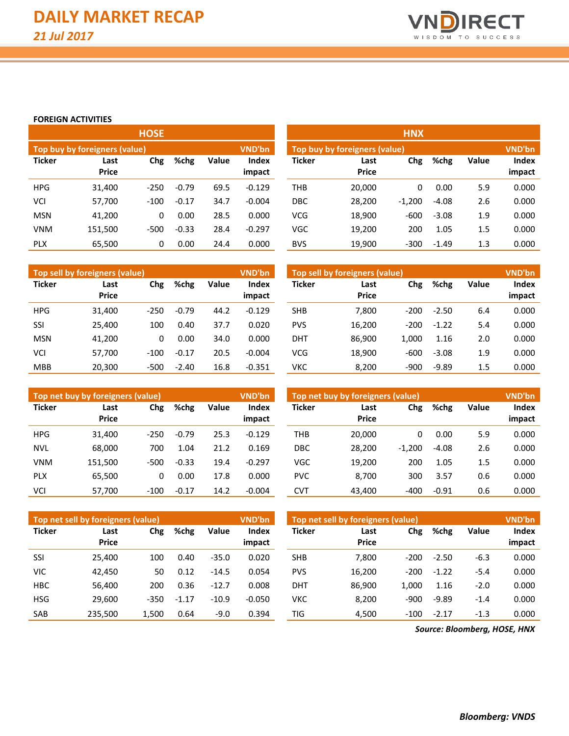

### **FOREIGN ACTIVITIES**

|               |                               | <b>HOSE</b> |         |        |                        |                               |                      |          |  |
|---------------|-------------------------------|-------------|---------|--------|------------------------|-------------------------------|----------------------|----------|--|
|               | Top buy by foreigners (value) |             |         | VND'bn |                        | Top buy by foreigners (value) |                      |          |  |
| <b>Ticker</b> | Last<br><b>Price</b>          | Chg         | %chg    | Value  | <b>Index</b><br>impact | <b>Ticker</b>                 | Last<br><b>Price</b> | Chg      |  |
| <b>HPG</b>    | 31,400                        | $-250$      | $-0.79$ | 69.5   | $-0.129$               | <b>THB</b>                    | 20,000               | $\Omega$ |  |
| VCI           | 57,700                        | $-100$      | $-0.17$ | 34.7   | $-0.004$               | <b>DBC</b>                    | 28,200               | $-1,200$ |  |
| <b>MSN</b>    | 41,200                        | 0           | 0.00    | 28.5   | 0.000                  | <b>VCG</b>                    | 18,900               | $-600$   |  |
| <b>VNM</b>    | 151,500                       | $-500$      | $-0.33$ | 28.4   | $-0.297$               | VGC                           | 19,200               | 200      |  |
| <b>PLX</b>    | 65,500                        | 0           | 0.00    | 24.4   | 0.000                  | <b>BVS</b>                    | 19,900               | $-300$   |  |

|            |                               | <b>HOSE</b> |         |       |                        | HNX           |                               |          |         |       |                        |  |
|------------|-------------------------------|-------------|---------|-------|------------------------|---------------|-------------------------------|----------|---------|-------|------------------------|--|
|            | Top buy by foreigners (value) |             |         |       | VND'bn                 |               | Top buy by foreigners (value) |          |         |       | VND'bn                 |  |
| Ticker     | Last<br><b>Price</b>          | %chg<br>Chg |         | Value | <b>Index</b><br>impact | <b>Ticker</b> | Last<br><b>Price</b>          | Chg      | %chg    | Value | <b>Index</b><br>impact |  |
| <b>HPG</b> | 31,400                        | $-250$      | $-0.79$ | 69.5  | $-0.129$               | <b>THB</b>    | 20,000                        | 0        | 0.00    | 5.9   | 0.000                  |  |
| VCI        | 57,700                        | $-100$      | $-0.17$ | 34.7  | $-0.004$               | <b>DBC</b>    | 28,200                        | $-1,200$ | $-4.08$ | 2.6   | 0.000                  |  |
| <b>MSN</b> | 41,200                        | 0           | 0.00    | 28.5  | 0.000                  | <b>VCG</b>    | 18,900                        | $-600$   | $-3.08$ | 1.9   | 0.000                  |  |
| VNM        | 151,500                       | $-500$      | $-0.33$ | 28.4  | $-0.297$               | <b>VGC</b>    | 19,200                        | 200      | 1.05    | 1.5   | 0.000                  |  |
| <b>PLX</b> | 65,500                        | 0           | 0.00    | 24.4  | 0.000                  | <b>BVS</b>    | 19,900                        | $-300$   | $-1.49$ | 1.3   | 0.000                  |  |

|               | Top sell by foreigners (value) |        |         |       | VND'bn                 | Top sell by foreigners (value), |                      |        |         |              | <b>VND'bn</b>   |  |  |
|---------------|--------------------------------|--------|---------|-------|------------------------|---------------------------------|----------------------|--------|---------|--------------|-----------------|--|--|
| <b>Ticker</b> | Last<br><b>Price</b>           | Chg    | %chg    | Value | <b>Index</b><br>impact | <b>Ticker</b>                   | Last<br><b>Price</b> | Chg    | %chg    | <b>Value</b> | Index<br>impact |  |  |
| <b>HPG</b>    | 31,400                         | $-250$ | $-0.79$ | 44.2  | $-0.129$               | <b>SHB</b>                      | 7,800                | $-200$ | $-2.50$ | 6.4          | 0.000           |  |  |
|               |                                |        |         |       |                        |                                 |                      |        |         |              |                 |  |  |
| SSI           | 25,400                         | 100    | 0.40    | 37.7  | 0.020                  | <b>PVS</b>                      | 16,200               | $-200$ | $-1.22$ | 5.4          | 0.000           |  |  |
| <b>MSN</b>    | 41,200                         | 0      | 0.00    | 34.0  | 0.000                  | <b>DHT</b>                      | 86.900               | 1.000  | 1.16    | 2.0          | 0.000           |  |  |
| VCI           | 57.700                         | $-100$ | $-0.17$ | 20.5  | $-0.004$               | VCG                             | 18.900               | $-600$ | $-3.08$ | 1.9          | 0.000           |  |  |
| <b>MBB</b>    | 20,300                         | $-500$ | $-2.40$ | 16.8  | $-0.351$               | νкс                             | 8,200                | $-900$ | $-9.89$ | 1.5          | 0.000           |  |  |

|               | Top net buy by foreigners (value) |        |         |       | <b>VND'bn</b>   |               | Top net buy by foreigners (value) |          |         |              | VND'bn                 |
|---------------|-----------------------------------|--------|---------|-------|-----------------|---------------|-----------------------------------|----------|---------|--------------|------------------------|
| <b>Ticker</b> | Last<br><b>Price</b>              | Chg    | %chg    | Value | Index<br>impact | <b>Ticker</b> | Last<br><b>Price</b>              | Chg      | %chg    | <b>Value</b> | <b>Index</b><br>impact |
| <b>HPG</b>    | 31,400                            | $-250$ | $-0.79$ | 25.3  | $-0.129$        | THB           | 20,000                            | 0        | 0.00    | 5.9          | 0.000                  |
| <b>NVL</b>    | 68,000                            | 700    | 1.04    | 21.2  | 0.169           | DBC           | 28.200                            | $-1,200$ | $-4.08$ | 2.6          | 0.000                  |
| <b>VNM</b>    | 151,500                           | $-500$ | $-0.33$ | 19.4  | $-0.297$        | <b>VGC</b>    | 19,200                            | 200      | 1.05    | 1.5          | 0.000                  |
| <b>PLX</b>    | 65,500                            | 0      | 0.00    | 17.8  | 0.000           | <b>PVC</b>    | 8,700                             | 300      | 3.57    | 0.6          | 0.000                  |
| VCI           | 57,700                            | $-100$ | $-0.17$ | 14.2  | $-0.004$        | <b>CVT</b>    | 43,400                            | $-400$   | $-0.91$ | 0.6          | 0.000                  |

|               | Top net sell by foreigners (value) |        |               |         | <b>VND'bn</b>          |               | Top net sell by foreigners (value) |        |         |              | <b>VND'bn</b>   |  |  |
|---------------|------------------------------------|--------|---------------|---------|------------------------|---------------|------------------------------------|--------|---------|--------------|-----------------|--|--|
| <b>Ticker</b> | Last<br><b>Price</b>               | Chg    | %chg<br>Value |         | <b>Index</b><br>impact | <b>Ticker</b> | Last<br><b>Price</b>               | Chg    | %chg    | <b>Value</b> | Index<br>impact |  |  |
| SSI           | 25.400                             | 100    | 0.40          | $-35.0$ | 0.020                  | <b>SHB</b>    | 7.800                              | $-200$ | $-2.50$ | $-6.3$       | 0.000           |  |  |
| VIC           | 42.450                             | 50     | 0.12          | $-14.5$ | 0.054                  | <b>PVS</b>    | 16.200                             | $-200$ | $-1.22$ | $-5.4$       | 0.000           |  |  |
| <b>HBC</b>    | 56,400                             | 200    | 0.36          | $-12.7$ | 0.008                  | <b>DHT</b>    | 86.900                             | 1.000  | 1.16    | $-2.0$       | 0.000           |  |  |
| <b>HSG</b>    | 29.600                             | $-350$ | $-1.17$       | $-10.9$ | $-0.050$               | VKC           | 8.200                              | $-900$ | $-9.89$ | $-1.4$       | 0.000           |  |  |
| SAB           | 235.500                            | 1.500  | 0.64          | $-9.0$  | 0.394                  | TIG           | 4.500                              | $-100$ | $-2.17$ | $-1.3$       | 0.000           |  |  |

*Source: Bloomberg, HOSE, HNX*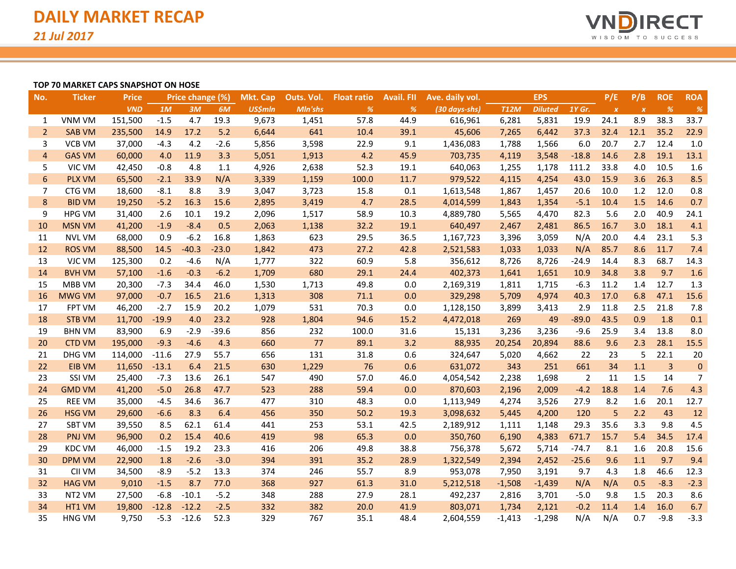

#### **TOP 70 MARKET CAPS SNAPSHOT ON HOSE**

| No.            | <b>Ticker</b> | <b>Price</b> |         | Price change (%) |         | <b>Mkt. Cap</b> | Outs. Vol.     | <b>Float ratio</b> | <b>Avail. FII</b> | Ave. daily vol. |             | <b>EPS</b>     |                | P/E              | P/B              | <b>ROE</b>     | <b>ROA</b> |
|----------------|---------------|--------------|---------|------------------|---------|-----------------|----------------|--------------------|-------------------|-----------------|-------------|----------------|----------------|------------------|------------------|----------------|------------|
|                |               | <b>VND</b>   | 1M      | 3M               | 6M      | <b>US\$mln</b>  | <b>Mln'shs</b> | %                  | %                 | (30 days-shs)   | <b>T12M</b> | <b>Diluted</b> | 1Y Gr.         | $\boldsymbol{X}$ | $\boldsymbol{X}$ | %              | %          |
| 1              | <b>VNM VM</b> | 151,500      | $-1.5$  | 4.7              | 19.3    | 9,673           | 1,451          | 57.8               | 44.9              | 616,961         | 6,281       | 5,831          | 19.9           | 24.1             | 8.9              | 38.3           | 33.7       |
| $\overline{2}$ | <b>SAB VM</b> | 235,500      | 14.9    | 17.2             | 5.2     | 6,644           | 641            | 10.4               | 39.1              | 45,606          | 7,265       | 6,442          | 37.3           | 32.4             | 12.1             | 35.2           | 22.9       |
| 3              | <b>VCB VM</b> | 37,000       | $-4.3$  | 4.2              | $-2.6$  | 5,856           | 3,598          | 22.9               | 9.1               | 1,436,083       | 1,788       | 1,566          | 6.0            | 20.7             | 2.7              | 12.4           | 1.0        |
| 4              | <b>GAS VM</b> | 60,000       | 4.0     | 11.9             | 3.3     | 5,051           | 1,913          | 4.2                | 45.9              | 703,735         | 4,119       | 3,548          | $-18.8$        | 14.6             | 2.8              | 19.1           | 13.1       |
| 5              | VIC VM        | 42,450       | $-0.8$  | 4.8              | 1.1     | 4,926           | 2,638          | 52.3               | 19.1              | 640,063         | 1,255       | 1,178          | 111.2          | 33.8             | 4.0              | 10.5           | 1.6        |
| 6              | <b>PLX VM</b> | 65,500       | $-2.1$  | 33.9             | N/A     | 3,339           | 1,159          | 100.0              | 11.7              | 979,522         | 4,115       | 4,254          | 43.0           | 15.9             | 3.6              | 26.3           | 8.5        |
| 7              | CTG VM        | 18,600       | $-8.1$  | 8.8              | 3.9     | 3,047           | 3,723          | 15.8               | 0.1               | 1,613,548       | 1,867       | 1,457          | 20.6           | 10.0             | 1.2              | 12.0           | 0.8        |
| 8              | <b>BID VM</b> | 19,250       | $-5.2$  | 16.3             | 15.6    | 2,895           | 3,419          | 4.7                | 28.5              | 4,014,599       | 1,843       | 1,354          | $-5.1$         | 10.4             | 1.5              | 14.6           | 0.7        |
| 9              | <b>HPG VM</b> | 31,400       | 2.6     | 10.1             | 19.2    | 2,096           | 1,517          | 58.9               | 10.3              | 4,889,780       | 5,565       | 4,470          | 82.3           | 5.6              | 2.0              | 40.9           | 24.1       |
| 10             | <b>MSN VM</b> | 41,200       | $-1.9$  | $-8.4$           | 0.5     | 2,063           | 1,138          | 32.2               | 19.1              | 640,497         | 2,467       | 2,481          | 86.5           | 16.7             | 3.0              | 18.1           | 4.1        |
| 11             | <b>NVL VM</b> | 68,000       | 0.9     | $-6.2$           | 16.8    | 1,863           | 623            | 29.5               | 36.5              | 1,167,723       | 3,396       | 3,059          | N/A            | 20.0             | 4.4              | 23.1           | 5.3        |
| 12             | <b>ROS VM</b> | 88,500       | 14.5    | $-40.3$          | $-23.0$ | 1,842           | 473            | 27.2               | 42.8              | 2,521,583       | 1,033       | 1,033          | N/A            | 85.7             | 8.6              | 11.7           | 7.4        |
| 13             | VJC VM        | 125,300      | 0.2     | $-4.6$           | N/A     | 1,777           | 322            | 60.9               | 5.8               | 356,612         | 8,726       | 8,726          | $-24.9$        | 14.4             | 8.3              | 68.7           | 14.3       |
| 14             | <b>BVH VM</b> | 57,100       | $-1.6$  | $-0.3$           | $-6.2$  | 1,709           | 680            | 29.1               | 24.4              | 402,373         | 1,641       | 1,651          | 10.9           | 34.8             | 3.8              | 9.7            | 1.6        |
| 15             | MBB VM        | 20,300       | $-7.3$  | 34.4             | 46.0    | 1,530           | 1,713          | 49.8               | 0.0               | 2,169,319       | 1,811       | 1,715          | $-6.3$         | 11.2             | 1.4              | 12.7           | 1.3        |
| 16             | <b>MWG VM</b> | 97,000       | $-0.7$  | 16.5             | 21.6    | 1,313           | 308            | 71.1               | 0.0               | 329,298         | 5,709       | 4,974          | 40.3           | 17.0             | 6.8              | 47.1           | 15.6       |
| 17             | <b>FPT VM</b> | 46,200       | $-2.7$  | 15.9             | 20.2    | 1,079           | 531            | 70.3               | 0.0               | 1,128,150       | 3,899       | 3,413          | 2.9            | 11.8             | 2.5              | 21.8           | 7.8        |
| 18             | <b>STB VM</b> | 11,700       | $-19.9$ | 4.0              | 23.2    | 928             | 1,804          | 94.6               | 15.2              | 4,472,018       | 269         | 49             | $-89.0$        | 43.5             | 0.9              | 1.8            | 0.1        |
| 19             | <b>BHN VM</b> | 83,900       | 6.9     | $-2.9$           | $-39.6$ | 856             | 232            | 100.0              | 31.6              | 15,131          | 3,236       | 3,236          | $-9.6$         | 25.9             | 3.4              | 13.8           | 8.0        |
| 20             | <b>CTD VM</b> | 195,000      | $-9.3$  | $-4.6$           | 4.3     | 660             | 77             | 89.1               | 3.2               | 88,935          | 20,254      | 20,894         | 88.6           | 9.6              | 2.3              | 28.1           | 15.5       |
| 21             | DHG VM        | 114,000      | $-11.6$ | 27.9             | 55.7    | 656             | 131            | 31.8               | 0.6               | 324,647         | 5,020       | 4,662          | 22             | 23               | 5                | 22.1           | 20         |
| 22             | <b>EIB VM</b> | 11,650       | $-13.1$ | 6.4              | 21.5    | 630             | 1,229          | 76                 | 0.6               | 631,072         | 343         | 251            | 661            | 34               | 1.1              | $\overline{3}$ | $\pmb{0}$  |
| 23             | SSI VM        | 25,400       | $-7.3$  | 13.6             | 26.1    | 547             | 490            | 57.0               | 46.0              | 4,054,542       | 2,238       | 1,698          | $\overline{2}$ | 11               | 1.5              | 14             | 7          |
| 24             | <b>GMD VM</b> | 41,200       | $-5.0$  | 26.8             | 47.7    | 523             | 288            | 59.4               | 0.0               | 870,603         | 2,196       | 2,009          | $-4.2$         | 18.8             | 1.4              | 7.6            | 4.3        |
| 25             | <b>REE VM</b> | 35,000       | $-4.5$  | 34.6             | 36.7    | 477             | 310            | 48.3               | 0.0               | 1,113,949       | 4,274       | 3,526          | 27.9           | 8.2              | 1.6              | 20.1           | 12.7       |
| 26             | <b>HSG VM</b> | 29,600       | $-6.6$  | 8.3              | 6.4     | 456             | 350            | 50.2               | 19.3              | 3,098,632       | 5,445       | 4,200          | 120            | 5                | 2.2              | 43             | 12         |
| 27             | <b>SBT VM</b> | 39,550       | 8.5     | 62.1             | 61.4    | 441             | 253            | 53.1               | 42.5              | 2,189,912       | 1,111       | 1,148          | 29.3           | 35.6             | 3.3              | 9.8            | 4.5        |
| 28             | <b>PNJ VM</b> | 96,900       | 0.2     | 15.4             | 40.6    | 419             | 98             | 65.3               | 0.0               | 350,760         | 6,190       | 4,383          | 671.7          | 15.7             | 5.4              | 34.5           | 17.4       |
| 29             | <b>KDC VM</b> | 46,000       | $-1.5$  | 19.2             | 23.3    | 416             | 206            | 49.8               | 38.8              | 756,378         | 5,672       | 5,714          | $-74.7$        | 8.1              | 1.6              | 20.8           | 15.6       |
| 30             | <b>DPM VM</b> | 22,900       | 1.8     | $-2.6$           | $-3.0$  | 394             | 391            | 35.2               | 28.9              | 1,322,549       | 2,394       | 2,452          | $-25.6$        | 9.6              | 1.1              | 9.7            | 9.4        |
| 31             | CII VM        | 34,500       | $-8.9$  | $-5.2$           | 13.3    | 374             | 246            | 55.7               | 8.9               | 953,078         | 7,950       | 3,191          | 9.7            | 4.3              | 1.8              | 46.6           | 12.3       |
| 32             | <b>HAG VM</b> | 9,010        | $-1.5$  | 8.7              | 77.0    | 368             | 927            | 61.3               | 31.0              | 5,212,518       | $-1,508$    | $-1,439$       | N/A            | N/A              | 0.5              | $-8.3$         | $-2.3$     |
| 33             | NT2 VM        | 27,500       | $-6.8$  | $-10.1$          | $-5.2$  | 348             | 288            | 27.9               | 28.1              | 492,237         | 2,816       | 3,701          | $-5.0$         | 9.8              | 1.5              | 20.3           | 8.6        |
| 34             | HT1 VM        | 19,800       | $-12.8$ | $-12.2$          | $-2.5$  | 332             | 382            | 20.0               | 41.9              | 803,071         | 1,734       | 2,121          | $-0.2$         | 11.4             | 1.4              | 16.0           | 6.7        |
| 35             | <b>HNG VM</b> | 9,750        | $-5.3$  | $-12.6$          | 52.3    | 329             | 767            | 35.1               | 48.4              | 2,604,559       | $-1,413$    | $-1,298$       | N/A            | N/A              | 0.7              | $-9.8$         | $-3.3$     |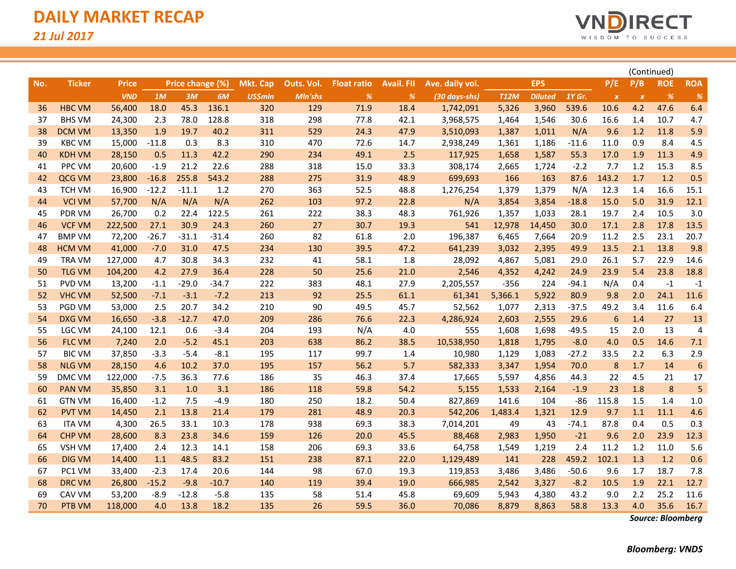

|     |               |              |         |                  |         |                 |            |                    |                   |                 |             |                |         |                  |                  | (Continued)   |                  |
|-----|---------------|--------------|---------|------------------|---------|-----------------|------------|--------------------|-------------------|-----------------|-------------|----------------|---------|------------------|------------------|---------------|------------------|
| No. | <b>Ticker</b> | <b>Price</b> |         | Price change (%) |         | <b>Mkt. Cap</b> | Outs. Vol. | <b>Float ratio</b> | <b>Avail. FII</b> | Ave. daily vol. |             | <b>EPS</b>     |         | P/E              | P/B              | <b>ROE</b>    | <b>ROA</b>       |
|     |               | <b>VND</b>   | 1M      | 3M               | 6M      | <b>US\$mln</b>  | Mln'shs    | $\frac{9}{6}$      | $\%$              | (30 days-shs)   | <b>T12M</b> | <b>Diluted</b> | 1Y Gr.  | $\boldsymbol{x}$ | $\boldsymbol{x}$ | $\frac{9}{6}$ | %                |
| 36  | <b>HBC VM</b> | 56,400       | 18.0    | 45.3             | 136.1   | 320             | 129        | 71.9               | 18.4              | 1,742,091       | 5,326       | 3,960          | 539.6   | 10.6             | 4.2              | 47.6          | 6.4              |
| 37  | <b>BHS VM</b> | 24,300       | 2.3     | 78.0             | 128.8   | 318             | 298        | 77.8               | 42.1              | 3,968,575       | 1,464       | 1,546          | 30.6    | 16.6             | 1.4              | 10.7          | 4.7              |
| 38  | <b>DCM VM</b> | 13,350       | 1.9     | 19.7             | 40.2    | 311             | 529        | 24.3               | 47.9              | 3,510,093       | 1,387       | 1,011          | N/A     | 9.6              | 1.2              | 11.8          | 5.9              |
| 39  | <b>KBC VM</b> | 15,000       | $-11.8$ | 0.3              | 8.3     | 310             | 470        | 72.6               | 14.7              | 2,938,249       | 1,361       | 1,186          | $-11.6$ | 11.0             | 0.9              | 8.4           | 4.5              |
| 40  | <b>KDH VM</b> | 28,150       | 0.5     | 11.3             | 42.2    | 290             | 234        | 49.1               | 2.5               | 117,925         | 1,658       | 1,587          | 55.3    | 17.0             | 1.9              | 11.3          | 4.9              |
| 41  | PPC VM        | 20,600       | $-1.9$  | 21.2             | 22.6    | 288             | 318        | 15.0               | 33.3              | 308,174         | 2,665       | 1,724          | $-2.2$  | 7.7              | 1.2              | 15.3          | 8.5              |
| 42  | QCG VM        | 23,800       | $-16.8$ | 255.8            | 543.2   | 288             | 275        | 31.9               | 48.9              | 699,693         | 166         | 163            | 87.6    | 143.2            | 1.7              | 1.2           | 0.5              |
| 43  | <b>TCH VM</b> | 16,900       | $-12.2$ | $-11.1$          | 1.2     | 270             | 363        | 52.5               | 48.8              | 1,276,254       | 1,379       | 1,379          | N/A     | 12.3             | 1.4              | 16.6          | 15.1             |
| 44  | <b>VCI VM</b> | 57,700       | N/A     | N/A              | N/A     | 262             | 103        | 97.2               | 22.8              | N/A             | 3,854       | 3,854          | $-18.8$ | 15.0             | 5.0              | 31.9          | 12.1             |
| 45  | PDR VM        | 26,700       | 0.2     | 22.4             | 122.5   | 261             | 222        | 38.3               | 48.3              | 761,926         | 1,357       | 1,033          | 28.1    | 19.7             | 2.4              | 10.5          | 3.0              |
| 46  | <b>VCF VM</b> | 222,500      | 27.1    | 30.9             | 24.3    | 260             | 27         | 30.7               | 19.3              | 541             | 12,978      | 14,450         | 30.0    | 17.1             | 2.8              | 17.8          | 13.5             |
| 47  | <b>BMP VM</b> | 72,200       | $-26.7$ | $-31.1$          | $-31.4$ | 260             | 82         | 61.8               | 2.0               | 196,387         | 6,465       | 7,664          | 20.9    | 11.2             | 2.5              | 23.1          | 20.7             |
| 48  | <b>HCM VM</b> | 41,000       | $-7.0$  | 31.0             | 47.5    | 234             | 130        | 39.5               | 47.2              | 641,239         | 3,032       | 2,395          | 49.9    | 13.5             | 2.1              | 13.8          | 9.8              |
| 49  | TRA VM        | 127,000      | 4.7     | 30.8             | 34.3    | 232             | 41         | 58.1               | $1.8\,$           | 28,092          | 4,867       | 5,081          | 29.0    | 26.1             | 5.7              | 22.9          | 14.6             |
| 50  | <b>TLG VM</b> | 104,200      | 4.2     | 27.9             | 36.4    | 228             | 50         | 25.6               | 21.0              | 2,546           | 4,352       | 4,242          | 24.9    | 23.9             | 5.4              | 23.8          | 18.8             |
| 51  | PVD VM        | 13,200       | $-1.1$  | $-29.0$          | $-34.7$ | 222             | 383        | 48.1               | 27.9              | 2,205,557       | $-356$      | 224            | $-94.1$ | N/A              | 0.4              | $-1$          | $-1$             |
| 52  | <b>VHC VM</b> | 52,500       | $-7.1$  | $-3.1$           | $-7.2$  | 213             | 92         | 25.5               | 61.1              | 61,341          | 5,366.1     | 5,922          | 80.9    | 9.8              | 2.0              | 24.1          | 11.6             |
| 53  | PGD VM        | 53,000       | 2.5     | 20.7             | 34.2    | 210             | 90         | 49.5               | 45.7              | 52,562          | 1,077       | 2,313          | $-37.5$ | 49.2             | 3.4              | 11.6          | 6.4              |
| 54  | <b>DXG VM</b> | 16,650       | $-3.8$  | $-12.7$          | 47.0    | 209             | 286        | 76.6               | 22.3              | 4,286,924       | 2,603       | 2,555          | 29.6    | 6                | 1.4              | 27            | 13               |
| 55  | LGC VM        | 24,100       | 12.1    | 0.6              | $-3.4$  | 204             | 193        | N/A                | 4.0               | 555             | 1,608       | 1,698          | $-49.5$ | 15               | 2.0              | 13            | 4                |
| 56  | <b>FLC VM</b> | 7,240        | 2.0     | $-5.2$           | 45.1    | 203             | 638        | 86.2               | 38.5              | 10,538,950      | 1,818       | 1,795          | $-8.0$  | 4.0              | 0.5              | 14.6          | 7.1              |
| 57  | <b>BIC VM</b> | 37,850       | $-3.3$  | $-5.4$           | $-8.1$  | 195             | 117        | 99.7               | 1.4               | 10,980          | 1,129       | 1,083          | $-27.2$ | 33.5             | 2.2              | 6.3           | 2.9              |
| 58  | <b>NLG VM</b> | 28,150       | 4.6     | 10.2             | 37.0    | 195             | 157        | 56.2               | 5.7               | 582,333         | 3,347       | 1,954          | 70.0    | 8                | 1.7              | 14            | $\boldsymbol{6}$ |
| 59  | DMC VM        | 122,000      | $-7.5$  | 36.3             | 77.6    | 186             | 35         | 46.3               | 37.4              | 17,665          | 5,597       | 4,856          | 44.3    | 22               | 4.5              | 21            | 17               |
| 60  | <b>PAN VM</b> | 35,850       | 3.1     | 1.0              | 3.1     | 186             | 118        | 59.8               | 54.2              | 5,155           | 1,533       | 2,164          | $-1.9$  | 23               | 1.8              | 8             | 5                |
| 61  | <b>GTN VM</b> | 16,400       | $-1.2$  | 7.5              | $-4.9$  | 180             | 250        | 18.2               | 50.4              | 827,869         | 141.6       | 104            | $-86$   | 115.8            | 1.5              | 1.4           | 1.0              |
| 62  | <b>PVT VM</b> | 14,450       | 2.1     | 13.8             | 21.4    | 179             | 281        | 48.9               | 20.3              | 542,206         | 1,483.4     | 1,321          | 12.9    | 9.7              | 1.1              | 11.1          | 4.6              |
| 63  | <b>ITA VM</b> | 4,300        | 26.5    | 33.1             | 10.3    | 178             | 938        | 69.3               | 38.3              | 7,014,201       | 49          | 43             | $-74.1$ | 87.8             | 0.4              | 0.5           | 0.3              |
| 64  | <b>CHP VM</b> | 28,600       | 8.3     | 23.8             | 34.6    | 159             | 126        | 20.0               | 45.5              | 88,468          | 2,983       | 1,950          | $-21$   | 9.6              | 2.0              | 23.9          | 12.3             |
| 65  | <b>VSH VM</b> | 17,400       | 2.4     | 12.3             | 14.1    | 158             | 206        | 69.3               | 33.6              | 64,758          | 1,549       | 1,219          | 2.4     | 11.2             | 1.2              | 11.0          | 5.6              |
| 66  | <b>DIG VM</b> | 14,400       | 1.1     | 48.5             | 83.2    | 151             | 238        | 87.1               | 22.0              | 1,129,489       | 141         | 228            | 459.2   | 102.1            | 1.3              | 1.2           | 0.6              |
| 67  | PC1 VM        | 33,400       | $-2.3$  | 17.4             | 20.6    | 144             | 98         | 67.0               | 19.3              | 119,853         | 3,486       | 3,486          | $-50.6$ | 9.6              | 1.7              | 18.7          | 7.8              |
| 68  | <b>DRC VM</b> | 26,800       | $-15.2$ | $-9.8$           | $-10.7$ | 140             | 119        | 39.4               | 19.0              | 666,985         | 2,542       | 3,327          | $-8.2$  | 10.5             | 1.9              | 22.1          | 12.7             |
| 69  | CAV VM        | 53,200       | $-8.9$  | $-12.8$          | $-5.8$  | 135             | 58         | 51.4               | 45.8              | 69,609          | 5,943       | 4,380          | 43.2    | 9.0              | 2.2              | 25.2          | 11.6             |
| 70  | PTB VM        | 118,000      | 4.0     | 13.8             | 18.2    | 135             | 26         | 59.5               | 36.0              | 70,086          | 8,879       | 8,863          | 58.8    | 13.3             | 4.0              | 35.6          | 16.7             |

*Source: Bloomberg*